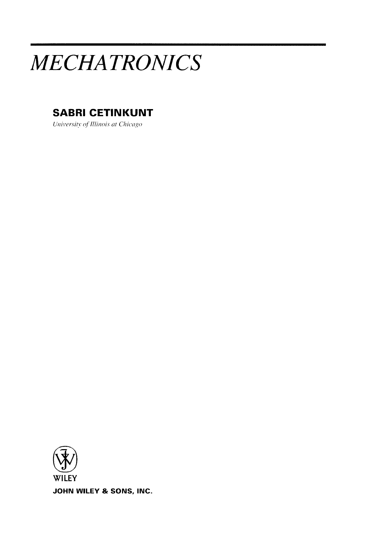# *MECHATRONICS*

### **SABRI CETINKUNT**

*University of Illinois at Chicago* 

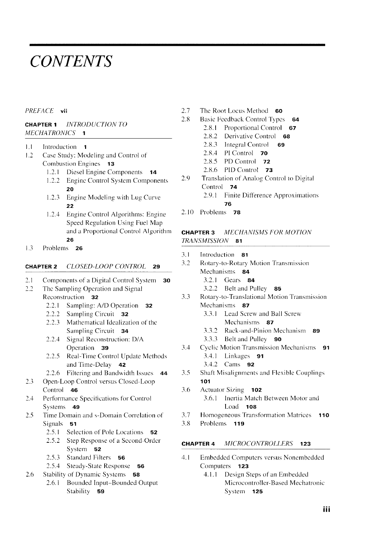## *CONTENTS*

#### *PREFACE* **vii**

#### **CHAPTER** 1 *INTRODUCTION TO MECHATR0N1CS* 1

- 1.1 Introduction 1
- 1.2 Case Study: Modeling and Control of Combustion Engines 13
	- 1.2.1 Diesel Engine Components 14
	- l .2.2 Engine Control System Components **20**
	- 1.2.3 Engine Modeling with Lug Curve **22**
	- 1.2.4 Engine Control Algorithms: Engine Speed Regulation Using Fuel Map and a Proportional Control Algorithm 26
- 1.3 Problems 26

#### **CHAPTER** 2 CLOSED-LOOP CONTROL **29**

- 2.1 Components of a Digital Control System **30**
- 2.2 The Sampling Operation and Signal Reconstruction 32
	- 2.2.1 Sampling: A/D Operation 32
	- 2.2.2 Sampling Circuit 32
	- 2.2.3 Mathematical Idealization of the Sampling Circuit 34
	- 2.2.4 Signal Reconstruction: D/A Operation 39
	- 2.2.5 Real-Time Control Update Methods and Time-Delay  $42$
	- 2.2.6 Filtering and Bandwidth Issues 44
- 2.3 Open-Loop Control versus Closcd-Loop Control 46
- 2.4 Performance Specifications for Control Systems 49
- 2.5 Time Domain and s-Domain Correlation of Signals 51
	- 2.5.1 Selection of Pole Locations 52
	- 2.5.2 Step Response of a Seeond-Order System 52
	- 2.5.3 Standard Filters 56
	- 2.5.4 Steady-State Response 56
- 2.6 Stability of Dynamic Systems 58
	- 2.6.1 Bounded Input-Bounded Output Stability 59
- 2.7 The Root Locus Method 60
- 2.8 Basic Feedback Control Types 64
	- 2.8.1 Proportional Control 67
		- 2.8.2 Derivative Control 68
		- 2.8.3 Integral Control 69
		- 2.8.4 PI Control 70
		- 2.8.5 PD Control 72
		- 2.8.6 PID Control 73
- 2.9 Translation of Analog Control to Digital Control 74 2.9.1 Finite Difference Approximations
	- 76
- 2.10 Problems 78

#### **CHAPTER 3** MECHANISMS FOR MOTION *TRANSMISSION* 81

- 3.1 Introduction 81
- 3.2 Rotary-to-Rotary Motion Transmission Mechanisms 84
	- 3.2.1 Gears 84
	- 3.2.2 Belt and Pulley 85
- 3.3 Rotary-to-Translational Motion Transmission Mechanisms 87
	- 3.3.1 Lead Screw and Ball Screw Mechanisms 87
	- 3.3.2 Rack-and-Pinion Mechanism 89
	- 3.3.3 Belt and Pulley **90**
- 3.4 Cyclic Motion Transmission Mechanisms 91 3.4.1 Linkages **91** 
	- 3.4.2 Cams **92**
- 3.5 Shaft Misalignments and Flexible Couplings **101**
- 3.6 Actuator Sizing **102** 3.6.1 Inertia Match Between Motor and Load **108**
- 3.7 Homogeneous Transformation Matrices **110**
- 3.8 Problems **119**

#### **CHAPTER 4** MICROCONTROLLERS **123**

- 4.1 Embeddcd Computers versus Nonembeddcd Computers **123** 
	- 4.1.1 Design Steps of an Embedded Microcontroller-Based Mechatronic System **125**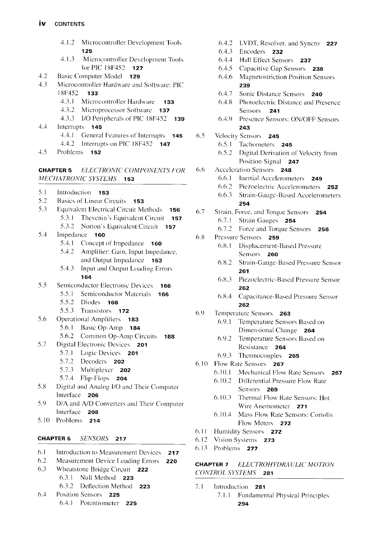|                  | 4.1.2                                      | Microcontroller Development Tools<br>125                   |  |
|------------------|--------------------------------------------|------------------------------------------------------------|--|
|                  | 4.1.3                                      | Microcontroller Development Tools<br>for PIC 18F452<br>127 |  |
| 4.2              |                                            | <b>Basic Computer Model</b><br>129                         |  |
| 4.3              | Microcontroller Hardware and Software: PIC |                                                            |  |
|                  | 18F452                                     | 133                                                        |  |
|                  | 4.3.1                                      | Microcontroller Hardware<br>133                            |  |
|                  | 4.3.2                                      | Microprocessor Software<br>137                             |  |
|                  | 4.3.3                                      | I/O Peripherals of PIC 18F452<br>139                       |  |
| 4.4              | Interrupts                                 | 145                                                        |  |
|                  | 4.4.1                                      | General Features of Interrupts                             |  |
|                  | 4.4.2                                      | 145<br>Interrupts on PIC 18F452                            |  |
| 4.5              | Problems                                   | 147<br>152                                                 |  |
|                  |                                            |                                                            |  |
| <b>CHAPTER 5</b> |                                            | <b>ELECTRONIC COMPONENTS FOR</b>                           |  |
|                  |                                            | MECHATRONIC SYSTEMS 153                                    |  |
| 5.1              | Introduction                               | 153                                                        |  |
| 5.2              |                                            | <b>Basics of Linear Circuits</b><br>153                    |  |
| 5.3              |                                            | <b>Equivalent Electrical Circuit Methods</b><br>156        |  |
|                  | 5.3.1                                      | Thevenin's Equivalent Circuit<br>157                       |  |
|                  | 5.3.2                                      | Norton's Equivalent Circuit<br>157                         |  |
| 5.4              | Impedance                                  | 160                                                        |  |
|                  |                                            | 5.4.1 Concept of Impedance<br>160                          |  |
|                  | 5.4.2                                      | Amplifier: Gain, Input Impedance,                          |  |
|                  |                                            | and Output Impedance 163                                   |  |
|                  | 5.4.3                                      | Input and Output Loading Errors                            |  |
|                  |                                            | 164                                                        |  |
| 5.5              |                                            | Semiconductor Electronic Devices<br>166                    |  |
|                  | 5.5.1                                      | Semiconductor Materials<br>166                             |  |
|                  | 5.5.2                                      | <b>Diodes</b><br>168                                       |  |
|                  | 5.5.3                                      | Transistors 172                                            |  |
| 5.6              |                                            | Operational Amplifiers 183                                 |  |
|                  |                                            | 5.6.1 Basic Op-Amp<br>- 184                                |  |
|                  |                                            | 5.6.2 Common Op-Amp Circuits<br>188                        |  |
| 5.7              |                                            | Digital Electronic Devices 201                             |  |
|                  |                                            | 5.7.1 Logic Devices<br>201                                 |  |
|                  | 5.7.2                                      | Decoders 202                                               |  |
|                  | 5.7.3                                      | Multiplexer 202                                            |  |
|                  | 5.7.4                                      | Flip-Flops<br>204                                          |  |
| 5.8              |                                            | Digital and Analog I/O and Their Computer                  |  |
|                  | Interface                                  | 206                                                        |  |
| 5.9              |                                            | D/A and A/D Converters and Their Computer                  |  |
|                  | Interface                                  | 208                                                        |  |
| 5.10             | Problems                                   | 214                                                        |  |

#### **CHAPTER 6** *SENSORS* **217**

- 6.1 Introduction to Measurement Devices **217**
- 6.2 Measurement Device Loading Errors **220**
- 6.3 Wheatstone Bridge Circuit **222** 
	- 6.3.1 Null Method **223**
	- 6.3.2 Deflection Method **223**
- 6.4 Position Sensors **225**  6.4.1 Potentiometer **225**
- 6.4.2 LVDT, Resolver. and Syncro **227**  6.4.3 Encoders **232**  6.4.4 Hall Effect Sensors **237**  6.4.5 Capaeitive Gap Sensors **238**  6.4.6 Magnetostriction Position Sensors **239**  6.4.7 Sonic Distance Sensors **240**  6.4.8 Photoelcctric Distance and Presence Sensors **241**  6.4.9 Presence Sensors: ON/OFF Sensors **243**  6.5 Velocity Sensors **245**  6.5.1 Tachometers **245**  6.5.2 Digital Derivation of Velocity from Position Signal **247**  6.6 Acccleration Sensors **248**  6.6.1 Inertial Accelerometers **249**  6.6.2 Piezoelectric Accelerometers **252**  6.6.3 Strain-Gauge-Based Accelerometers **254**  6.7 Strain, Force, and Torque Sensors **254**  6.7.1 Strain Gauges **254**  6.7.2 Force and Torque Sensors **256**  6.8 Pressure Sensors **259**  6.8.1 Displacement-Based Pressure Sensors **260**  6.8.2 Strain-Gauge-Based Pressure Sensor **261**  6.8.3 Piezoclectric-Based Pressure Sensor **262**  6.8.4 Capaeitance-Based Pressure Sensor **262**  6.9 Temperaturc Sensors **263**  6.9.1 Temperature Sensors Based on Dimensional Change **264**  6.9.2 Temperature Sensors Based on Resistance **264**  6.9.3 Thcrmocouples **265**  6.10 Flow Rate Sensors **267**  6.K). I Mechanical Flow Rate Sensors **267**  6.10.2 Differential Pressure Flow Rate Sensors **269**  6.10.3 Thermal Flow Rate Sensors: Hot Wire Anemometer **271**  6.10.4 Mass Flow Rate Sensors: Coriolis Flow Meters **272**  6.11 Humidity Sensors 272
- 6.12 Vision Systems **273**
- 6.13 Problems **277**

#### **CHAPTER 7** *ELECTROHYDRA ULIC MOTION CONTROL SYSTEMS* **281**

- 7.1 Introduction **281** 
	- 7.1.1 Fundamental Physical Principles **294**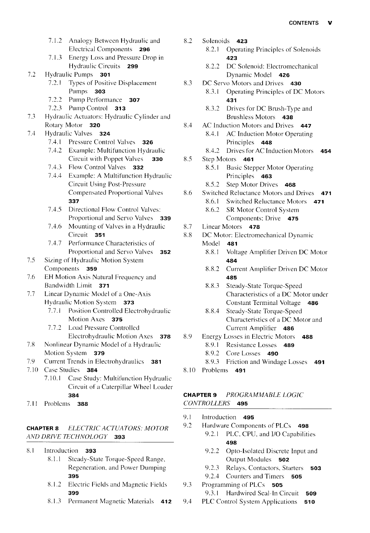- 7.1.2 Analogy Between Hydraulic and Electrical Components **296**
- 7.1.3 Energy Loss and Pressure Drop in Hydraulic Circuits **299**
- 7.2 Hydraulic Pumps **301** 
	- 7.2.1 Types of Positive Displacement Pumps **303**
	- 7.2.2 Pump Performance **307**
	- 7.2.3 Pump Control **313**
- 7.3 Hydraulic Actuators: Hydraulic Cylinder and Rotary Motor **320**
- 7.4 Hydraulic Valves **324** 
	- 7.4.1 Pressure Control Valves **326**
	- 7.4.2 Example: Multifunction Hydraulic Circuit with Poppet Valves **330**
	- 7.4.3 Flow Control Valves **332**
	- 7.4.4 Example: A Multifunction Hydraulic Circuit Using Post-Pressure Compensated Proportional Valves **337**
	- 7.4.5 Directional Flow Control Valves: Proportional and Servo Valves **339**
	- 7.4.6 Mounting of Valves in a Hydraulic Circuit **351**
	- 7.4.7 Performance Characteristics of Proportional and Servo Valves **352**
- 7.5 Sizing of Hydraulic Motion System Components **359**
- 7.6 EH Motion Axis Natural Frequency and Bandwidth Limit **371**
- 7.7 Linear Dynamic Model of a One-Axis Hydraulic Motion System **373** 
	- 7.7.1 Position Controlled Electrohydraulic Motion Axes **375**
	- 7.7.2 Load Pressure Controlled Electrohydraulic Motion Axes **378**
- 7.8 Nonlinear Dynamic Model of a Hydraulic Motion System **379**
- 7.9 Current Trends in Electrohydraulics **381**
- 7.10 Case Studies **384** 
	- 7.10.1 Case Study: Multifunction Hydraulic Circuit of a Caterpillar Wheel Loader **384**
- 7. II Problems **388**

#### **CHAPTER 8** *ELECTRIC A CTUA TORS: MOTOR AND DRIVE TECHNOLOGY* **393**

- 8.1 Introduction **393** 
	- 8.1.1 Steady-State Torque-Speed Range, Regeneration, and Power Dumping **395**
	- 8.1.2 Electric Fields and Magnetic Fields **399**
	- 8.1.3 Permanent Magnetic Materials 412

8.2.1 Operating Principles of Solenoids **423**  8.2.2 DC Solenoid: Electromechanical Dynamic Model **426**  8.3 DC Servo Motors and Drives **430**  8.3.1 Operating Principles of DC Motors **431**  8.3.2 Drives for DC Brush-Type and Brushless Motors **438**  8.4 AC Induction Motors and Drives **447**  8.4.1 AC Induction Motor Operating Principles **448**  8.4.2 Drives for AC Induction Motors **454**  8.5 Step Motors **461**  8.5.1 Basic Stepper Motor Operating Principles **463**  8.5.2 Step Motor Drives **468**  8.6 Switched Reluctance Motors and Drives **471**  8.6.1 Switched Reluctance Motors **471**  8.6.2 SR Motor Control System Components: Drive **475**  8.7 Linear Motors **478**  8.8 DC Motor: Electromechanical Dynamic Model **481**  8.8.1 Voltage Amplifier Driven DC Motor **484** 

8.2 Solenoids **423** 

- 8.8.2 Current Amplifier Driven DC Motor **485**
- 8.8.3 Steady-State Torque-Speed Characteristics of a DC Motor under Constant Terminal Voltage **486**
- 8.8.4 Steady-State Torque-Speed Characteristics of a DC Motor and Current Amplifier **486**
- 8.9 Energy Losses in Electric Motors **488** 
	- 8.9.1 Resistance Losses **489**
	- 8.9.2 Core Losses **490**
	- 8.9.3 Friction and Windage Losses **491**
- 8.10 Problems **491**

#### **CHAPTER 9** *PROCRAMMABLE LOGIC CONTROLLERS* **495**

- 9.1 Introduction **495**
- 9.2 Hardware Components of PLCs **498** 
	- 9.2.1 PLC, CPU, and I/O Capabilities **498** 
		- 9.2.2 Opto-Isolated Discrete Input and Output Modules **502**
	- 9.2.3 Relays, Contactors, Starters **503**
	- 9.2.4 Counters and Timers **505**
- 9.3 Programming of PLCs **505**  9.3.1 Hardwired Seal-In Circuit **509**
- 9.4 PLC Control System Applications **510**